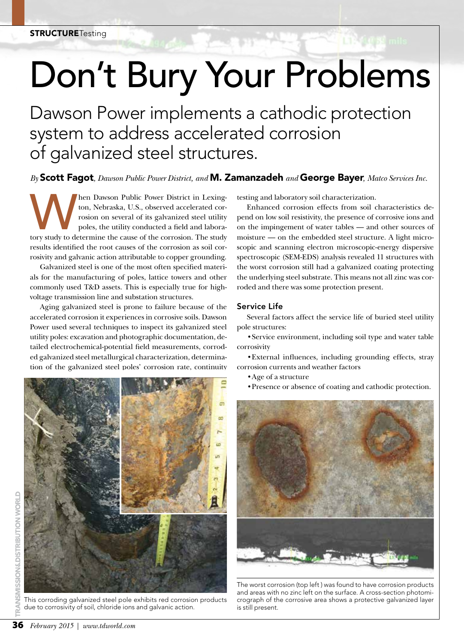# Don't Bury Your Problems

Dawson Power implements a cathodic protection system to address accelerated corrosion of galvanized steel structures.

*By* Scott Fagot*, Dawson Public Power District, and* M. Zamanzadeh *and* George Bayer*, Matco Services Inc.*

Men Dawson Public Power District in Lexington, Nebraska, U.S., observed accelerated corrosion on several of its galvanized steel utility poles, the utility conducted a field and laboratory study to determine the cause of t ton, Nebraska, U.S., observed accelerated corrosion on several of its galvanized steel utility poles, the utility conducted a field and laboraresults identified the root causes of the corrosion as soil corrosivity and galvanic action attributable to copper grounding.

Galvanized steel is one of the most often specified materials for the manufacturing of poles, lattice towers and other commonly used T&D assets. This is especially true for highvoltage transmission line and substation structures.

Aging galvanized steel is prone to failure because of the accelerated corrosion it experiences in corrosive soils. Dawson Power used several techniques to inspect its galvanized steel utility poles: excavation and photographic documentation, detailed electrochemical-potential field measurements, corroded galvanized steel metallurgical characterization, determination of the galvanized steel poles' corrosion rate, continuity



This corroding galvanized steel pole exhibits red corrosion products due to corrosivity of soil, chloride ions and galvanic action.

testing and laboratory soil characterization.

Enhanced corrosion effects from soil characteristics depend on low soil resistivity, the presence of corrosive ions and on the impingement of water tables — and other sources of moisture — on the embedded steel structure. A light microscopic and scanning electron microscopic-energy dispersive spectroscopic (SEM-EDS) analysis revealed 11 structures with the worst corrosion still had a galvanized coating protecting the underlying steel substrate. This means not all zinc was corroded and there was some protection present.

#### Service Life

Several factors affect the service life of buried steel utility pole structures:

• Service environment, including soil type and water table corrosivity

• External influences, including grounding effects, stray corrosion currents and weather factors

- • Age of a structure
- • Presence or absence of coating and cathodic protection.



The worst corrosion (top left ) was found to have corrosion products and areas with no zinc left on the surface. A cross-section photomicrograph of the corrosive area shows a protective galvanized layer is still present.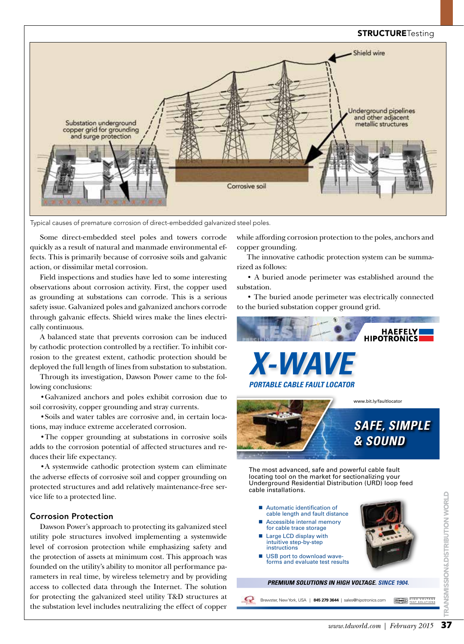#### **STRUCTURETesting**



Typical causes of premature corrosion of direct-embedded galvanized steel poles.

Some direct-embedded steel poles and towers corrode quickly as a result of natural and manmade environmental effects. This is primarily because of corrosive soils and galvanic action, or dissimilar metal corrosion.

Field inspections and studies have led to some interesting observations about corrosion activity. First, the copper used as grounding at substations can corrode. This is a serious safety issue. Galvanized poles and galvanized anchors corrode through galvanic effects. Shield wires make the lines electrically continuous.

A balanced state that prevents corrosion can be induced by cathodic protection controlled by a rectifier. To inhibit corrosion to the greatest extent, cathodic protection should be deployed the full length of lines from substation to substation.

Through its investigation, Dawson Power came to the following conclusions:

• Galvanized anchors and poles exhibit corrosion due to soil corrosivity, copper grounding and stray currents.

• Soils and water tables are corrosive and, in certain locations, may induce extreme accelerated corrosion.

• The copper grounding at substations in corrosive soils adds to the corrosion potential of affected structures and reduces their life expectancy.

• A systemwide cathodic protection system can eliminate the adverse effects of corrosive soil and copper grounding on protected structures and add relatively maintenance-free service life to a protected line.

#### Corrosion Protection

Dawson Power's approach to protecting its galvanized steel utility pole structures involved implementing a systemwide level of corrosion protection while emphasizing safety and the protection of assets at minimum cost. This approach was founded on the utility's ability to monitor all performance parameters in real time, by wireless telemetry and by providing access to collected data through the Internet. The solution for protecting the galvanized steel utility T&D structures at the substation level includes neutralizing the effect of copper

while affording corrosion protection to the poles, anchors and copper grounding.

The innovative cathodic protection system can be summarized as follows:

• A buried anode perimeter was established around the substation.

• The buried anode perimeter was electrically connected to the buried substation copper ground grid.



The most advanced, safe and powerful cable fault locating tool on the market for sectionalizing your Underground Residential Distribution (URD) loop feed cable installations.

- Automatic identification of cable length and fault distance
- Accessible internal memory for cable trace storage
- Large LCD display with intuitive step-by-step instructions
- USB port to download wave forms and evaluate test results

**PREMIUM SOLUTIONS IN HIGH VOLTAGE. SINCE 1904.**

Brewster, New York, USA | 845 279 3644 | sales@hipotronics.com HUMMALL HIGH

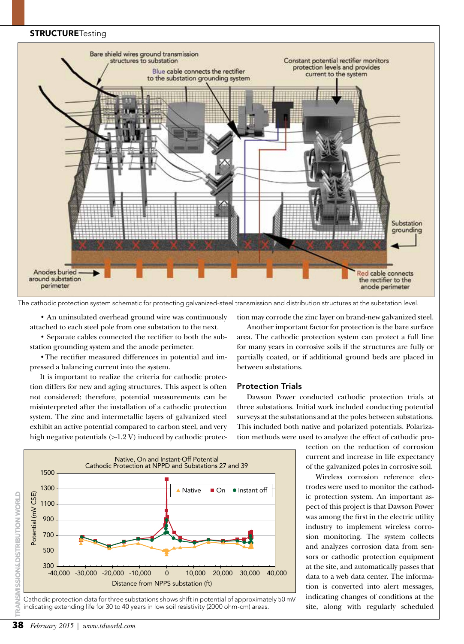#### **STRUCTURETesting**



The cathodic protection system schematic for protecting galvanized-steel transmission and distribution structures at the substation level.

• An uninsulated overhead ground wire was continuously attached to each steel pole from one substation to the next.

• Separate cables connected the rectifier to both the substation grounding system and the anode perimeter.

• The rectifier measured differences in potential and impressed a balancing current into the system.

It is important to realize the criteria for cathodic protection differs for new and aging structures. This aspect is often not considered; therefore, potential measurements can be misinterpreted after the installation of a cathodic protection system. The zinc and intermetallic layers of galvanized steel exhibit an active potential compared to carbon steel, and very high negative potentials (>-1.2 V) induced by cathodic protec-



Cathodic protection data for three substations shows shift in potential of approximately 50 mV indicating extending life for 30 to 40 years in low soil resistivity (2000 ohm-cm) areas.

tion may corrode the zinc layer on brand-new galvanized steel.

Another important factor for protection is the bare surface area. The cathodic protection system can protect a full line for many years in corrosive soils if the structures are fully or partially coated, or if additional ground beds are placed in between substations.

#### Protection Trials

Dawson Power conducted cathodic protection trials at three substations. Initial work included conducting potential surveys at the substations and at the poles between substations. This included both native and polarized potentials. Polarization methods were used to analyze the effect of cathodic pro-

> tection on the reduction of corrosion current and increase in life expectancy of the galvanized poles in corrosive soil.

> Wireless corrosion reference electrodes were used to monitor the cathodic protection system. An important aspect of this project is that Dawson Power was among the first in the electric utility industry to implement wireless corrosion monitoring. The system collects and analyzes corrosion data from sensors or cathodic protection equipment at the site, and automatically passes that data to a web data center. The information is converted into alert messages, indicating changes of conditions at the site, along with regularly scheduled